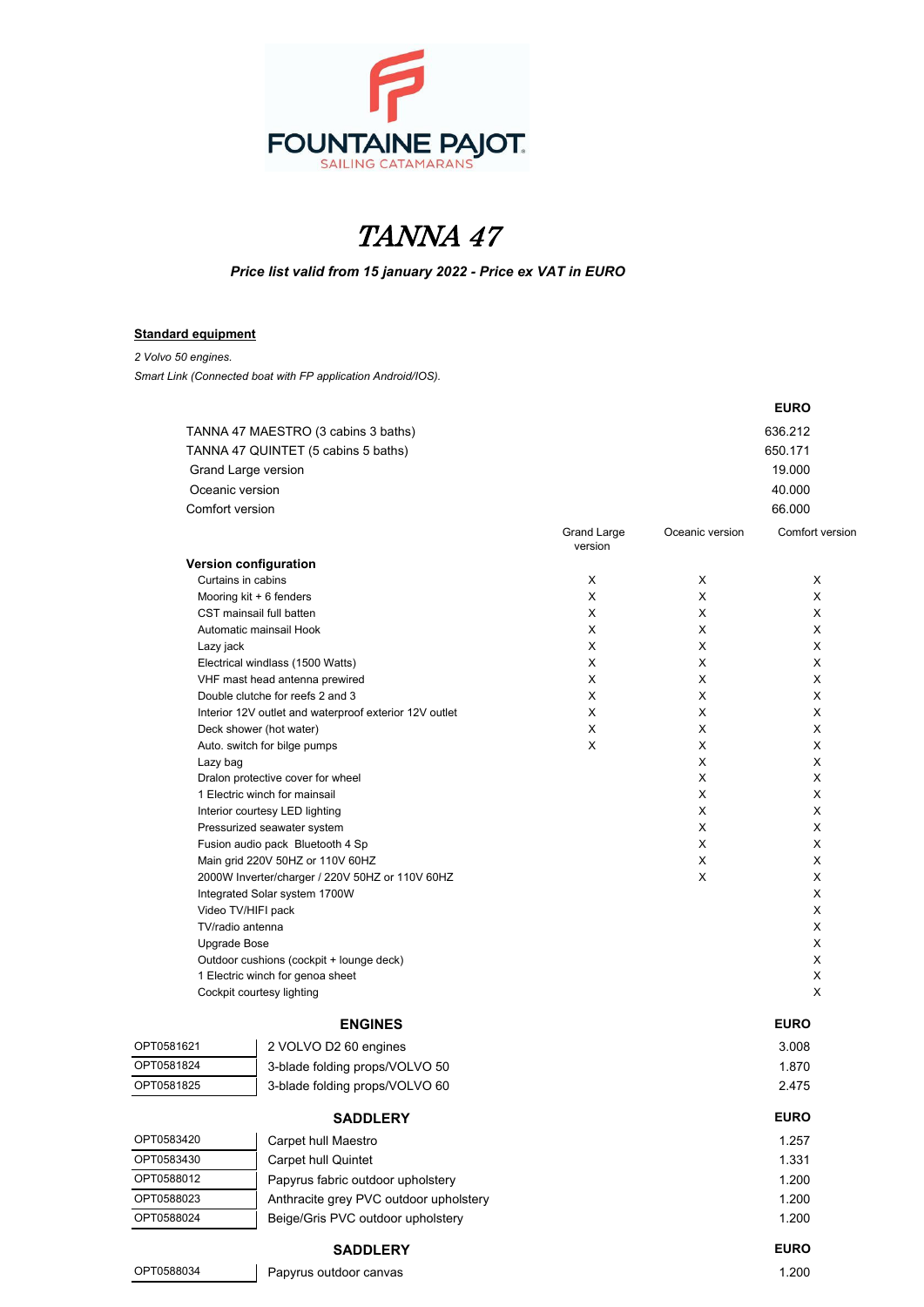

## TANNA 47

*Price list valid from 15 january 2022 - Price ex VAT in EURO*

## **Standard equipment**

*2 Volvo 50 engines.*

*Smart Link (Connected boat with FP application Android/IOS).*

|                                  |                                                         |                        |                 | <b>EURO</b>     |  |
|----------------------------------|---------------------------------------------------------|------------------------|-----------------|-----------------|--|
|                                  | TANNA 47 MAESTRO (3 cabins 3 baths)                     |                        |                 | 636.212         |  |
|                                  | TANNA 47 QUINTET (5 cabins 5 baths)                     |                        |                 | 650.171         |  |
|                                  | Grand Large version                                     |                        |                 | 19.000          |  |
|                                  | Oceanic version                                         |                        |                 | 40.000          |  |
| Comfort version                  |                                                         |                        |                 | 66.000          |  |
|                                  |                                                         |                        |                 |                 |  |
|                                  |                                                         | Grand Large<br>version | Oceanic version | Comfort versior |  |
|                                  | Version configuration                                   |                        |                 |                 |  |
|                                  | Curtains in cabins                                      | X                      | X               | Χ               |  |
|                                  | Mooring kit + 6 fenders                                 | X                      | X               | X               |  |
|                                  | CST mainsail full batten                                | X                      | Χ               | X               |  |
|                                  | Automatic mainsail Hook                                 | X                      | Χ               | X               |  |
| Lazy jack                        |                                                         | X                      | X               | X               |  |
|                                  | Electrical windlass (1500 Watts)                        | X                      | X               | Х               |  |
|                                  | VHF mast head antenna prewired                          | X                      | Χ               | X               |  |
|                                  | Double clutche for reefs 2 and 3                        | X                      | Χ               | X               |  |
|                                  | Interior 12V outlet and waterproof exterior 12V outlet  | X<br>X                 | Χ<br>X          | X<br>X          |  |
|                                  | Deck shower (hot water)<br>Auto. switch for bilge pumps | X                      | X               | X               |  |
| Lazy bag                         |                                                         |                        | X               | X               |  |
|                                  | Dralon protective cover for wheel                       |                        | X               | X               |  |
|                                  | 1 Electric winch for mainsail                           |                        | X               | X               |  |
|                                  | Interior courtesy LED lighting                          |                        | X               | X               |  |
|                                  | Pressurized seawater system                             |                        | Χ               | X               |  |
| Fusion audio pack Bluetooth 4 Sp |                                                         |                        | Χ               | X               |  |
|                                  | Main grid 220V 50HZ or 110V 60HZ                        |                        | X               | X               |  |
|                                  | 2000W Inverter/charger / 220V 50HZ or 110V 60HZ         |                        | Χ               | X               |  |
|                                  | Integrated Solar system 1700W                           |                        |                 | X               |  |
|                                  | Video TV/HIFI pack<br>TV/radio antenna                  |                        |                 | X<br>X          |  |
| Upgrade Bose                     |                                                         |                        |                 | X               |  |
|                                  | Outdoor cushions (cockpit + lounge deck)                |                        |                 | X               |  |
|                                  | 1 Electric winch for genoa sheet                        |                        |                 | X               |  |
|                                  | Cockpit courtesy lighting                               |                        |                 | X               |  |
|                                  |                                                         |                        |                 |                 |  |
|                                  | <b>ENGINES</b>                                          |                        |                 | <b>EURO</b>     |  |
| OPT0581621                       | 2 VOLVO D2 60 engines                                   |                        |                 | 3.008           |  |
| OPT0581824                       | 3-blade folding props/VOLVO 50                          |                        |                 | 1.870           |  |
| OPT0581825                       | 3-blade folding props/VOLVO 60                          |                        |                 | 2.475           |  |
|                                  | <b>SADDLERY</b>                                         |                        |                 | <b>EURO</b>     |  |
| OPT0583420                       | Carpet hull Maestro                                     |                        |                 | 1.257           |  |
| OPT0583430                       | Carpet hull Quintet                                     |                        |                 | 1.331           |  |
| OPT0588012                       | Papyrus fabric outdoor upholstery                       |                        |                 | 1.200           |  |
| OPT0588023                       | Anthracite grey PVC outdoor upholstery                  |                        |                 | 1.200           |  |
| OPT0588024                       | Beige/Gris PVC outdoor upholstery                       |                        |                 | 1.200           |  |
|                                  | <b>SADDLERY</b>                                         |                        |                 | <b>EURO</b>     |  |
| OPT0588034                       | Papyrus outdoor canvas                                  |                        |                 | 1.200           |  |
|                                  |                                                         |                        |                 |                 |  |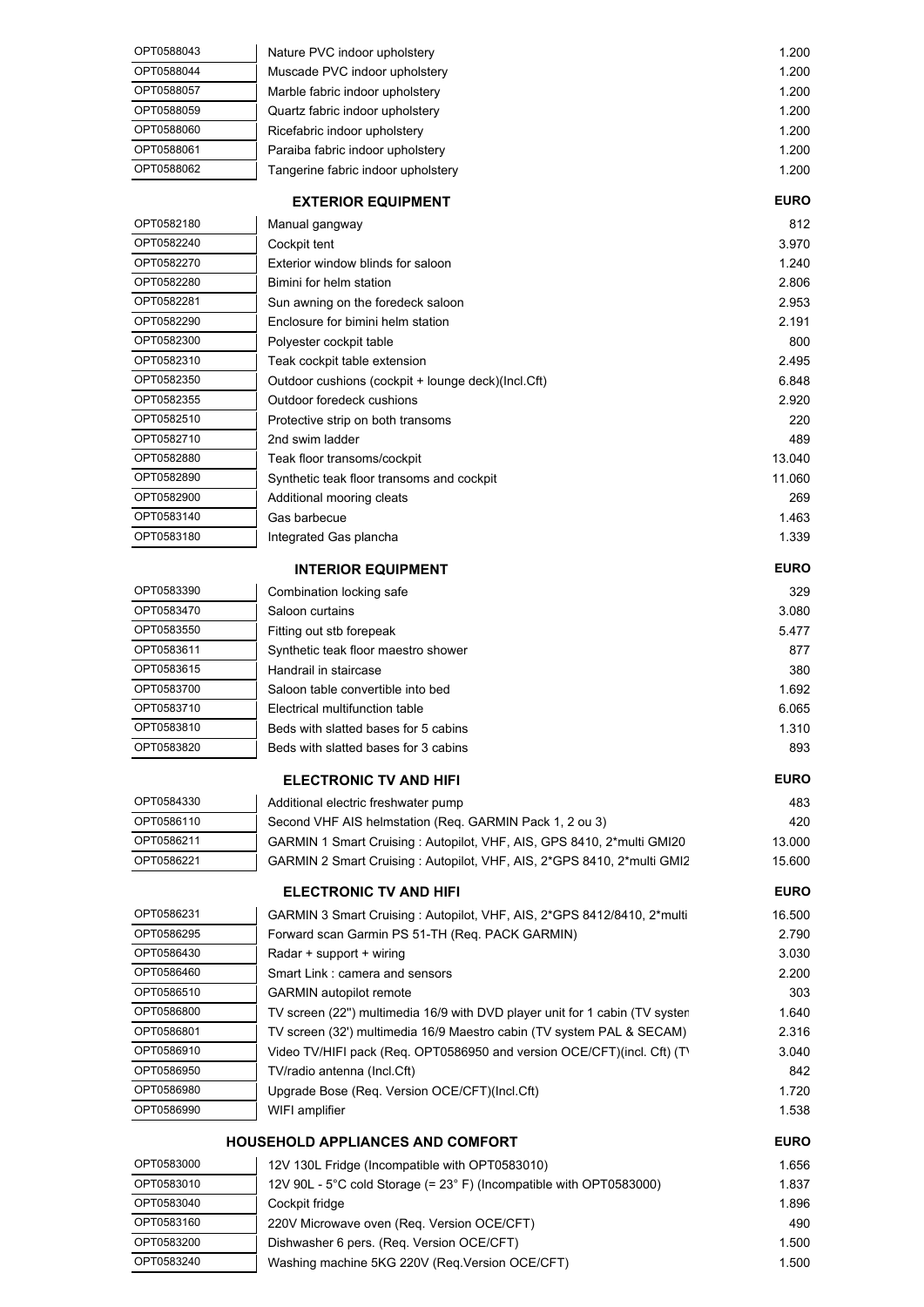| OPT0588043               | Nature PVC indoor upholstery                                                                                                                    | 1.200          |
|--------------------------|-------------------------------------------------------------------------------------------------------------------------------------------------|----------------|
| OPT0588044               | Muscade PVC indoor upholstery                                                                                                                   | 1.200          |
| OPT0588057               | Marble fabric indoor upholstery                                                                                                                 | 1.200          |
| OPT0588059               | Quartz fabric indoor upholstery                                                                                                                 | 1.200          |
| OPT0588060               | Ricefabric indoor upholstery                                                                                                                    | 1.200          |
| OPT0588061               | Paraiba fabric indoor upholstery                                                                                                                | 1.200          |
| OPT0588062               | Tangerine fabric indoor upholstery                                                                                                              | 1.200          |
|                          | <b>EXTERIOR EQUIPMENT</b>                                                                                                                       | <b>EURO</b>    |
| OPT0582180               | Manual gangway                                                                                                                                  | 812            |
| OPT0582240               | Cockpit tent                                                                                                                                    | 3.970          |
| OPT0582270               | Exterior window blinds for saloon                                                                                                               | 1.240          |
| OPT0582280               | Bimini for helm station                                                                                                                         | 2.806          |
| OPT0582281<br>OPT0582290 | Sun awning on the foredeck saloon                                                                                                               | 2.953          |
| OPT0582300               | Enclosure for bimini helm station<br>Polyester cockpit table                                                                                    | 2.191<br>800   |
| OPT0582310               | Teak cockpit table extension                                                                                                                    | 2.495          |
| OPT0582350               | Outdoor cushions (cockpit + lounge deck)(Incl.Cft)                                                                                              | 6.848          |
| OPT0582355               | Outdoor foredeck cushions                                                                                                                       | 2.920          |
| OPT0582510               | Protective strip on both transoms                                                                                                               | 220            |
| OPT0582710               | 2nd swim ladder                                                                                                                                 | 489            |
| OPT0582880               | Teak floor transoms/cockpit                                                                                                                     | 13.040         |
| OPT0582890               | Synthetic teak floor transoms and cockpit                                                                                                       | 11.060         |
| OPT0582900               | Additional mooring cleats                                                                                                                       | 269            |
| OPT0583140               | Gas barbecue                                                                                                                                    | 1.463          |
| OPT0583180               | Integrated Gas plancha                                                                                                                          | 1.339          |
|                          | <b>INTERIOR EQUIPMENT</b>                                                                                                                       | <b>EURO</b>    |
| OPT0583390               | Combination locking safe                                                                                                                        | 329            |
| OPT0583470               | Saloon curtains                                                                                                                                 | 3.080          |
| OPT0583550               | Fitting out stb forepeak                                                                                                                        | 5.477          |
| OPT0583611               | Synthetic teak floor maestro shower                                                                                                             | 877            |
| OPT0583615               | Handrail in staircase                                                                                                                           | 380            |
| OPT0583700               | Saloon table convertible into bed                                                                                                               | 1.692          |
| OPT0583710               | Electrical multifunction table                                                                                                                  | 6.065          |
| OPT0583810               | Beds with slatted bases for 5 cabins                                                                                                            | 1.310          |
| OPT0583820               | Beds with slatted bases for 3 cabins                                                                                                            | 893            |
|                          | <b>ELECTRONIC TV AND HIFI</b>                                                                                                                   | <b>EURO</b>    |
| OPT0584330               | Additional electric freshwater pump                                                                                                             | 483            |
| OPT0586110               | Second VHF AIS helmstation (Req. GARMIN Pack 1, 2 ou 3)                                                                                         | 420            |
| OPT0586211<br>OPT0586221 | GARMIN 1 Smart Cruising: Autopilot, VHF, AIS, GPS 8410, 2*multi GMI20<br>GARMIN 2 Smart Cruising: Autopilot, VHF, AIS, 2*GPS 8410, 2*multi GMI2 | 13.000         |
|                          |                                                                                                                                                 | 15.600         |
|                          | <b>ELECTRONIC TV AND HIFI</b>                                                                                                                   | <b>EURO</b>    |
| OPT0586231<br>OPT0586295 | GARMIN 3 Smart Cruising : Autopilot, VHF, AIS, 2*GPS 8412/8410, 2*multi                                                                         | 16.500         |
| OPT0586430               | Forward scan Garmin PS 51-TH (Req. PACK GARMIN)                                                                                                 | 2.790<br>3.030 |
| OPT0586460               | Radar + support + wiring<br>Smart Link: camera and sensors                                                                                      | 2.200          |
| OPT0586510               | <b>GARMIN</b> autopilot remote                                                                                                                  | 303            |
| OPT0586800               | TV screen (22") multimedia 16/9 with DVD player unit for 1 cabin (TV syster                                                                     | 1.640          |
| OPT0586801               | TV screen (32') multimedia 16/9 Maestro cabin (TV system PAL & SECAM)                                                                           | 2.316          |
| OPT0586910               | Video TV/HIFI pack (Req. OPT0586950 and version OCE/CFT)(incl. Cft) (T)                                                                         | 3.040          |
| OPT0586950               | TV/radio antenna (Incl.Cft)                                                                                                                     | 842            |
| OPT0586980               | Upgrade Bose (Req. Version OCE/CFT)(Incl.Cft)                                                                                                   | 1.720          |
| OPT0586990               | WIFI amplifier                                                                                                                                  | 1.538          |
|                          | <b>HOUSEHOLD APPLIANCES AND COMFORT</b>                                                                                                         | <b>EURO</b>    |
| OPT0583000               | 12V 130L Fridge (Incompatible with OPT0583010)                                                                                                  | 1.656          |
| OPT0583010               | 12V 90L - 5°C cold Storage (= 23° F) (Incompatible with OPT0583000)                                                                             | 1.837          |
| OPT0583040               | Cockpit fridge                                                                                                                                  | 1.896          |
| OPT0583160               | 220V Microwave oven (Req. Version OCE/CFT)                                                                                                      | 490            |
| OPT0583200               | Dishwasher 6 pers. (Req. Version OCE/CFT)                                                                                                       | 1.500          |
| OPT0583240               | Washing machine 5KG 220V (Req.Version OCE/CFT)                                                                                                  | 1.500          |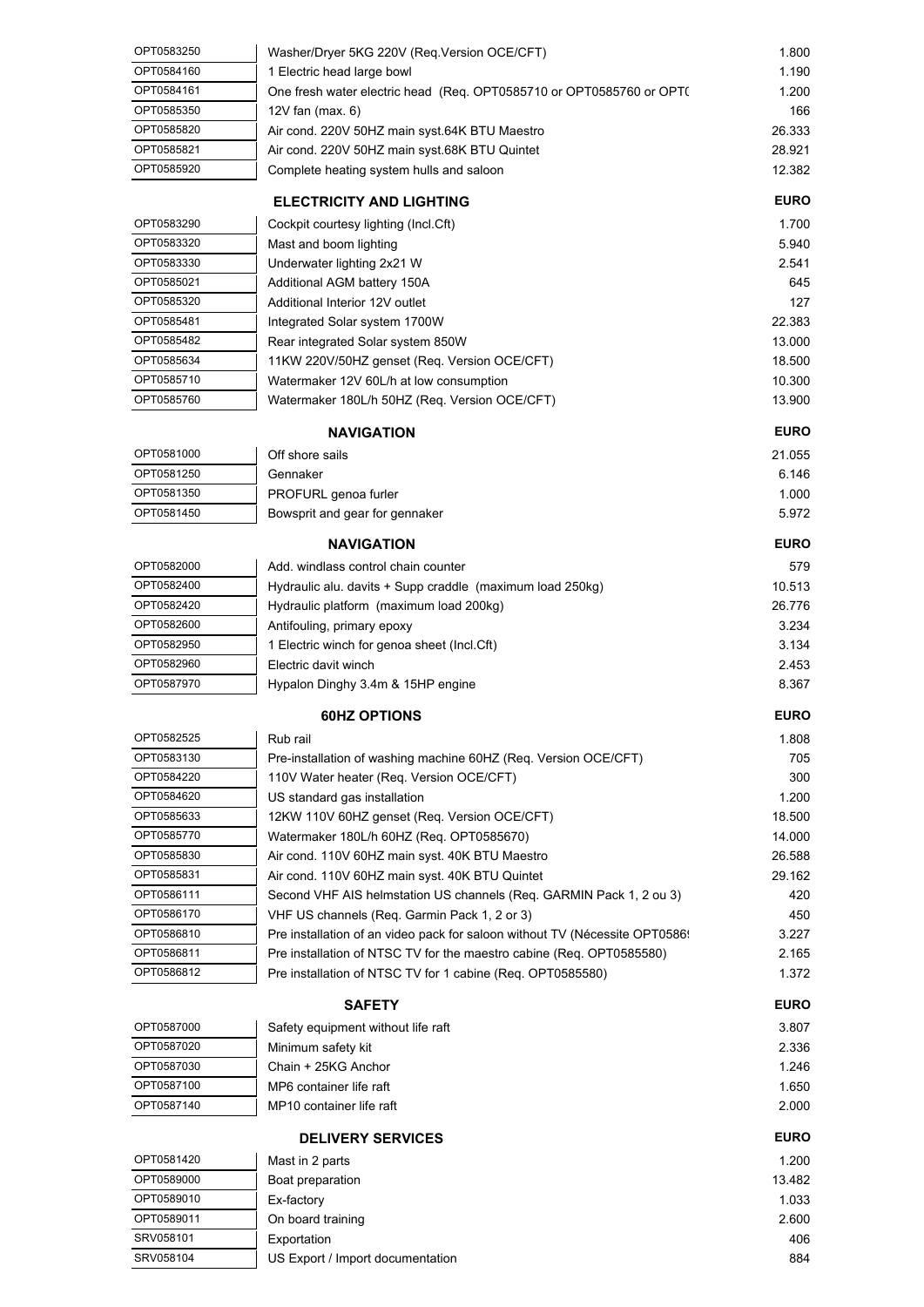| OPT0582950<br>OPT0582960 | 1 Electric winch for genoa sheet (Incl.Cft)<br>Electric davit winch  | 3.134<br>2.453 |
|--------------------------|----------------------------------------------------------------------|----------------|
|                          |                                                                      |                |
| OPT0582600               | Antifouling, primary epoxy                                           | 3.234          |
| OPT0582420               | Hydraulic platform (maximum load 200kg)                              | 26.776         |
| OPT0582400               | Hydraulic alu. davits + Supp craddle (maximum load 250kg)            | 10.513         |
| OPT0582000               | Add. windlass control chain counter                                  | 579            |
|                          | <b>NAVIGATION</b>                                                    | <b>EURO</b>    |
|                          |                                                                      |                |
| OPT0581450               | Bowsprit and gear for gennaker                                       | 5.972          |
| OPT0581350               | PROFURL genoa furler                                                 | 1.000          |
| OPT0581250               | Gennaker                                                             | 6.146          |
| OPT0581000               | Off shore sails                                                      | 21.055         |
|                          | <b>NAVIGATION</b>                                                    | <b>EURO</b>    |
|                          |                                                                      |                |
| OPT0585760               | Watermaker 180L/h 50HZ (Req. Version OCE/CFT)                        | 13.900         |
| OPT0585710               | Watermaker 12V 60L/h at low consumption                              | 10.300         |
| OPT0585634               | 11KW 220V/50HZ genset (Req. Version OCE/CFT)                         | 18.500         |
| OPT0585482               | Rear integrated Solar system 850W                                    | 13.000         |
| OPT0585481               | Integrated Solar system 1700W                                        | 22.383         |
| OPT0585320               | Additional Interior 12V outlet                                       | 127            |
| OPT0585021               | Additional AGM battery 150A                                          | 645            |
| OPT0583330               | Underwater lighting 2x21 W                                           | 2.541          |
| OPT0583320               | Mast and boom lighting                                               | 5.940          |
| OPT0583290               | Cockpit courtesy lighting (Incl.Cft)                                 | 1.700          |
|                          | <b>ELECTRICITY AND LIGHTING</b>                                      | <b>EURO</b>    |
| OPT0585920               | Complete heating system hulls and saloon                             | 12.382         |
| OPT0585821               | Air cond. 220V 50HZ main syst.68K BTU Quintet                        | 28.921         |
| OPT0585820               | Air cond. 220V 50HZ main syst.64K BTU Maestro                        | 26.333         |
| OPT0585350               | $12V$ fan (max. 6)                                                   | 166            |
|                          |                                                                      |                |
| OPT0584161               | One fresh water electric head (Req. OPT0585710 or OPT0585760 or OPT( | 1.200          |
|                          | 1 Electric head large bowl                                           | 1.190          |
| OPT0583250<br>OPT0584160 | Washer/Dryer 5KG 220V (Req.Version OCE/CFT)                          | 1.800          |

| OPT0587000 | Safety equipment without life raft | 3.807 |
|------------|------------------------------------|-------|
| OPT0587020 | Minimum safety kit                 | 2.336 |
| OPT0587030 | Chain + 25KG Anchor                | 1.246 |
| OPT0587100 | MP6 container life raft            | 1.650 |
| OPT0587140 | MP10 container life raft           | 2.000 |

| <b>DELIVERY SERVICES</b> |                                  | <b>EURO</b> |
|--------------------------|----------------------------------|-------------|
| OPT0581420               | Mast in 2 parts                  | 1.200       |
| OPT0589000               | Boat preparation                 | 13.482      |
| OPT0589010               | Ex-factory                       | 1.033       |
| OPT0589011               | On board training                | 2.600       |
| SRV058101                | Exportation                      | 406         |
| SRV058104                | US Export / Import documentation | 884         |